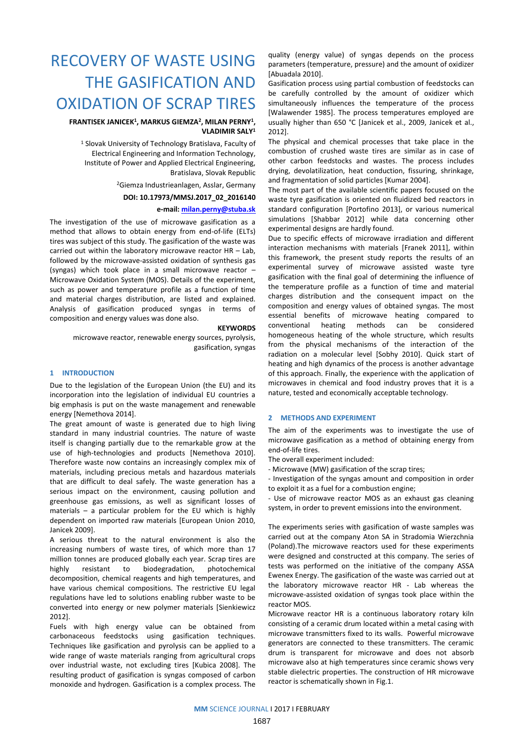# RECOVERY OF WASTE USING THE GASIFICATION AND OXIDATION OF SCRAP TIRES

## **FRANTISEK JANICEK<sup>1</sup>, MARKUS GIEMZA<sup>2</sup>, MILAN PERNY<sup>1</sup>, VLADIMIR SALY<sup>1</sup>**

<sup>1</sup> Slovak University of Technology Bratislava, Faculty of Electrical Engineering and Information Technology, Institute of Power and Applied Electrical Engineering, Bratislava, Slovak Republic

<sup>2</sup>Giemza Industrieanlagen, Asslar, Germany

**DOI: 10.17973/MMSJ.2017\_02\_2016140** 

# **e-mail: [milan.perny@stuba.sk](mailto:milan.perny@stuba.sk)**

The investigation of the use of microwave gasification as a method that allows to obtain energy from end-of-life (ELTs) tires was subject of this study. The gasification of the waste was carried out within the laboratory microwave reactor HR – Lab, followed by the microwave-assisted oxidation of synthesis gas (syngas) which took place in a small microwave reactor – Microwave Oxidation System (MOS). Details of the experiment, such as power and temperature profile as a function of time and material charges distribution, are listed and explained. Analysis of gasification produced syngas in terms of composition and energy values was done also.

#### **KEYWORDS**

microwave reactor, renewable energy sources, pyrolysis, gasification, syngas

## **1 INTRODUCTION**

Due to the legislation of the European Union (the EU) and its incorporation into the legislation of individual EU countries a big emphasis is put on the waste management and renewable energy [Nemethova 2014].

The great amount of waste is generated due to high living standard in many industrial countries. The nature of waste itself is changing partially due to the remarkable grow at the use of high-technologies and products [Nemethova 2010]. Therefore waste now contains an increasingly complex mix of materials, including precious metals and hazardous materials that are difficult to deal safely. The waste generation has a serious impact on the environment, causing pollution and greenhouse gas emissions, as well as significant losses of materials – a particular problem for the EU which is highly dependent on imported raw materials [European Union 2010, Janicek 2009].

A serious threat to the natural environment is also the increasing numbers of waste tires, of which more than 17 million tonnes are produced globally each year. Scrap tires are highly resistant to biodegradation, photochemical decomposition, chemical reagents and high temperatures, and have various chemical compositions. The restrictive EU legal regulations have led to solutions enabling rubber waste to be converted into energy or new polymer materials [Sienkiewicz 2012].

Fuels with high energy value can be obtained from carbonaceous feedstocks using gasification techniques. Techniques like gasification and pyrolysis can be applied to a wide range of waste materials ranging from agricultural crops over industrial waste, not excluding tires [Kubica 2008]. The resulting product of gasification is syngas composed of carbon monoxide and hydrogen. Gasification is a complex process. The

quality (energy value) of syngas depends on the process parameters (temperature, pressure) and the amount of oxidizer [Abuadala 2010].

Gasification process using partial combustion of feedstocks can be carefully controlled by the amount of oxidizer which simultaneously influences the temperature of the process [Walawender 1985]. The process temperatures employed are usually higher than 650 °C [Janicek et al., 2009, Janicek et al., 2012].

The physical and chemical processes that take place in the combustion of crushed waste tires are similar as in case of other carbon feedstocks and wastes. The process includes drying, devolatilization, heat conduction, fissuring, shrinkage, and fragmentation of solid particles [Kumar 2004].

The most part of the available scientific papers focused on the waste tyre gasification is oriented on fluidized bed reactors in standard configuration [Portofino 2013], or various numerical simulations [Shabbar 2012] while data concerning other experimental designs are hardly found.

Due to specific effects of microwave irradiation and different interaction mechanisms with materials [Franek 2011], within this framework, the present study reports the results of an experimental survey of microwave assisted waste tyre gasification with the final goal of determining the influence of the temperature profile as a function of time and material charges distribution and the consequent impact on the composition and energy values of obtained syngas. The most essential benefits of microwave heating compared to conventional heating methods can be considered homogeneous heating of the whole structure, which results from the physical mechanisms of the interaction of the radiation on a molecular level [Sobhy 2010]. Quick start of heating and high dynamics of the process is another advantage of this approach. Finally, the experience with the application of microwaves in chemical and food industry proves that it is a nature, tested and economically acceptable technology.

### **2 METHODS AND EXPERIMENT**

The aim of the experiments was to investigate the use of microwave gasification as a method of obtaining energy from end-of-life tires.

The overall experiment included:

- Microwave (MW) gasification of the scrap tires;

- Investigation of the syngas amount and composition in order to exploit it as a fuel for a combustion engine;

- Use of microwave reactor MOS as an exhaust gas cleaning system, in order to prevent emissions into the environment.

The experiments series with gasification of waste samples was carried out at the company Aton SA in Stradomia Wierzchnia (Poland).The microwave reactors used for these experiments were designed and constructed at this company. The series of tests was performed on the initiative of the company ASSA Ewenex Energy. The gasification of the waste was carried out at the laboratory microwave reactor HR - Lab whereas the microwave-assisted oxidation of syngas took place within the reactor MOS.

Microwave reactor HR is a continuous laboratory rotary kiln consisting of a ceramic drum located within a metal casing with microwave transmitters fixed to its walls. Powerful microwave generators are connected to these transmitters. The ceramic drum is transparent for microwave and does not absorb microwave also at high temperatures since ceramic shows very stable dielectric properties. The construction of HR microwave reactor is schematically shown in Fig.1.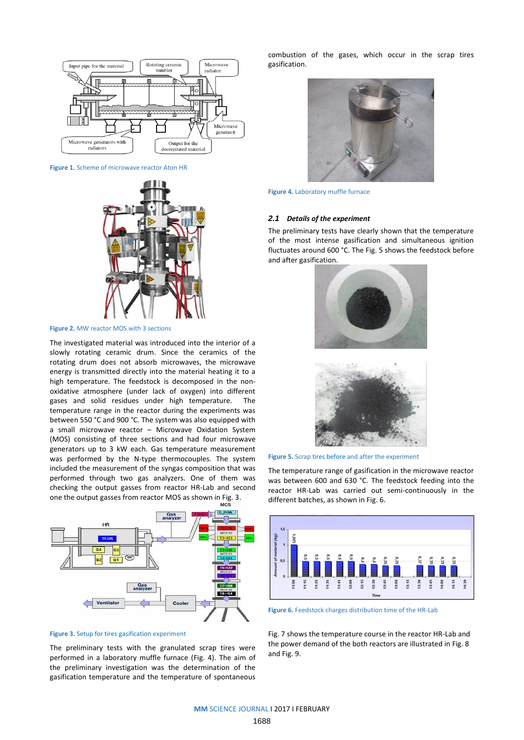

**Figure 1.** Scheme of microwave reactor Aton HR



**Figure 2.** MW reactor MOS with 3 sections

The investigated material was introduced into the interior of a slowly rotating ceramic drum. Since the ceramics of the rotating drum does not absorb microwaves, the microwave energy is transmitted directly into the material heating it to a high temperature. The feedstock is decomposed in the nonoxidative atmosphere (under lack of oxygen) into different gases and solid residues under high temperature. The temperature range in the reactor during the experiments was between 550 °C and 900 °C. The system was also equipped with a small microwave reactor – Microwave Oxidation System (MOS) consisting of three sections and had four microwave generators up to 3 kW each. Gas temperature measurement was performed by the N-type thermocouples. The system included the measurement of the syngas composition that was performed through two gas analyzers. One of them was checking the output gasses from reactor HR-Lab and second one the output gasses from reactor MOS as shown in Fig. 3.



**Figure 3.** Setup for tires gasification experiment

The preliminary tests with the granulated scrap tires were performed in a laboratory muffle furnace (Fig. 4). The aim of the preliminary investigation was the determination of the gasification temperature and the temperature of spontaneous combustion of the gases, which occur in the scrap tires gasification.



**Figure 4.** Laboratory muffle furnace

#### *2.1 Details of the experiment*

The preliminary tests have clearly shown that the temperature of the most intense gasification and simultaneous ignition fluctuates around 600 °C. The Fig. 5 shows the feedstock before and after gasification.





**Figure 5.** Scrap tires before and after the experiment

The temperature range of gasification in the microwave reactor was between 600 and 630 °C. The feedstock feeding into the reactor HR-Lab was carried out semi-continuously in the different batches, as shown in Fig. 6.



**Figure 6.** Feedstock charges distribution time of the HR-Lab

Fig. 7 shows the temperature course in the reactor HR-Lab and the power demand of the both reactors are illustrated in Fig. 8 and Fig. 9.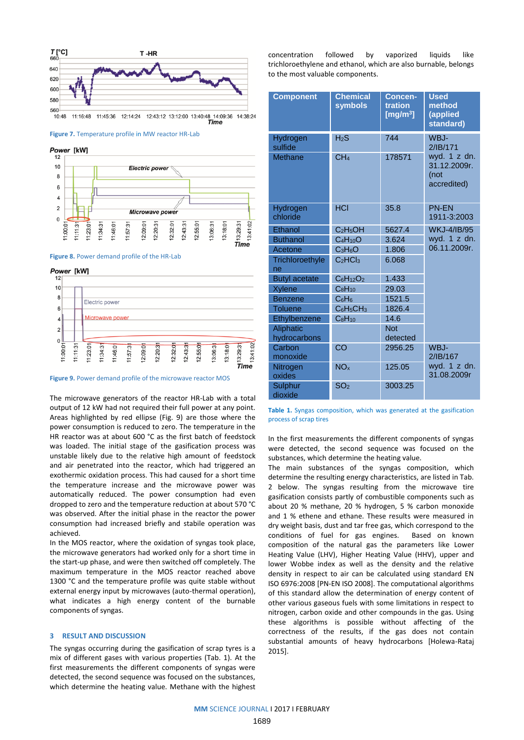

**Figure 7.** Temperature profile in MW reactor HR-Lab

Power [kW]



**Figure 8.** Power demand profile of the HR-Lab

Power [kW]



**Figure 9.** Power demand profile of the microwave reactor MOS

The microwave generators of the reactor HR-Lab with a total output of 12 kW had not required their full power at any point. Areas highlighted by red ellipse (Fig. 9) are those where the power consumption is reduced to zero. The temperature in the HR reactor was at about 600 °C as the first batch of feedstock was loaded. The initial stage of the gasification process was unstable likely due to the relative high amount of feedstock and air penetrated into the reactor, which had triggered an exothermic oxidation process. This had caused for a short time the temperature increase and the microwave power was automatically reduced. The power consumption had even dropped to zero and the temperature reduction at about 570 °C was observed. After the initial phase in the reactor the power consumption had increased briefly and stabile operation was achieved.

In the MOS reactor, where the oxidation of syngas took place, the microwave generators had worked only for a short time in the start-up phase, and were then switched off completely. The maximum temperature in the MOS reactor reached above 1300 °C and the temperature profile was quite stable without external energy input by microwaves (auto-thermal operation), what indicates a high energy content of the burnable components of syngas.

#### **3 RESULT AND DISCUSSION**

The syngas occurring during the gasification of scrap tyres is a mix of different gases with various properties (Tab. 1). At the first measurements the different components of syngas were detected, the second sequence was focused on the substances, which determine the heating value. Methane with the highest concentration followed by vaporized liquids like trichloroethylene and ethanol, which are also burnable, belongs to the most valuable components.

| <b>Component</b>      | <b>Chemical</b><br>symbols       | Concen-<br>tration<br>[mg/m $3$ ] | <b>Used</b><br>method<br>(applied<br>standard)      |
|-----------------------|----------------------------------|-----------------------------------|-----------------------------------------------------|
| Hydrogen<br>sulfide   | $H_2S$                           | 744                               | WBJ-<br>2/IB/171                                    |
| <b>Methane</b>        | CH <sub>4</sub>                  | 178571                            | wyd. 1 z dn.<br>31.12.2009r.<br>(not<br>accredited) |
| Hydrogen<br>chloride  | <b>HCI</b>                       | 35.8                              | <b>PN-FN</b><br>1911-3:2003                         |
| Ethanol               | C <sub>2</sub> H <sub>5</sub> OH | 5627.4                            | <b>WKJ-4/IB/95</b>                                  |
| <b>Buthanol</b>       | $C_4H_{10}O$                     | 3.624                             | wyd. 1 z dn.                                        |
| Acetone               | $C_3H_6O$                        | 1.806                             | 06.11.2009r.                                        |
| Trichloroethyle<br>ne | C <sub>2</sub> HCl <sub>3</sub>  | 6.068                             |                                                     |
| <b>Butyl acetate</b>  | $C_6H_{12}O_2$                   | 1.433                             |                                                     |
| Xylene                | $C_8H_{10}$                      | 29.03                             |                                                     |
| <b>Benzene</b>        | C <sub>6</sub> H <sub>6</sub>    | 1521.5                            |                                                     |
| <b>Toluene</b>        | $C_6H_5CH_3$                     | 1826.4                            |                                                     |
| Ethylbenzene          | $C_8H_{10}$                      | 14.6                              |                                                     |
| Aliphatic             |                                  | <b>Not</b>                        |                                                     |
| hydrocarbons          |                                  | detected                          |                                                     |
| Carbon<br>monoxide    | CO                               | 2956.25                           | WBJ-<br>2/IB/167                                    |
| Nitrogen<br>oxides    | NO <sub>x</sub>                  | 125.05                            | wyd. 1 z dn.<br>31.08.2009r                         |
| Sulphur<br>dioxide    | SO <sub>2</sub>                  | 3003.25                           |                                                     |

**Table 1.** Syngas composition, which was generated at the gasification process of scrap tires

In the first measurements the different components of syngas were detected, the second sequence was focused on the substances, which determine the heating value.

The main substances of the syngas composition, which determine the resulting energy characteristics, are listed in Tab. 2 below. The syngas resulting from the microwave tire gasification consists partly of combustible components such as about 20 % methane, 20 % hydrogen, 5 % carbon monoxide and 1 % ethene and ethane. These results were measured in dry weight basis, dust and tar free gas, which correspond to the conditions of fuel for gas engines. Based on known composition of the natural gas the parameters like Lower Heating Value (LHV), Higher Heating Value (HHV), upper and lower Wobbe index as well as the density and the relative density in respect to air can be calculated using standard EN ISO 6976:2008 [PN-EN ISO 2008]. The computational algorithms of this standard allow the determination of energy content of other various gaseous fuels with some limitations in respect to nitrogen, carbon oxide and other compounds in the gas. Using these algorithms is possible without affecting of the correctness of the results, if the gas does not contain substantial amounts of heavy hydrocarbons [Holewa-Rataj 2015].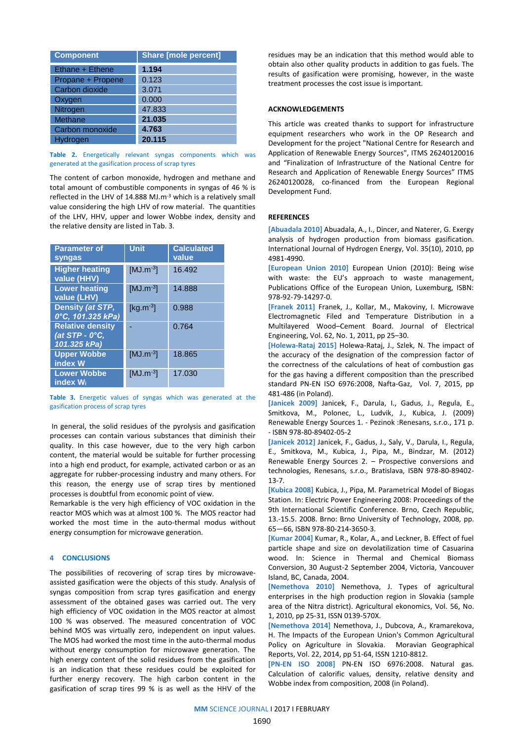| <b>Component</b>  | <b>Share [mole percent]</b> |
|-------------------|-----------------------------|
| Ethane + Ethene   | 1.194                       |
| Propane + Propene | 0.123                       |
| Carbon dioxide    | 3.071                       |
| Oxygen            | 0.000                       |
| Nitrogen          | 47.833                      |
| Methane           | 21.035                      |
| Carbon monoxide   | 4.763                       |
| Hydroaen          | 20.115                      |

**Table 2.** Energetically relevant syngas components which was generated at the gasification process of scrap tyres

The content of carbon monoxide, hydrogen and methane and total amount of combustible components in syngas of 46 % is reflected in the LHV of 14.888 MJ.m-3 which is a relatively small value considering the high LHV of row material. The quantities of the LHV, HHV, upper and lower Wobbe index, density and the relative density are listed in Tab. 3.

| <b>Parameter of</b><br>syngas                                     | <b>Unit</b>   | <b>Calculated</b><br>value |
|-------------------------------------------------------------------|---------------|----------------------------|
| <b>Higher heating</b><br>value (HHV)                              | $[MJ.m^{-3}]$ | 16.492                     |
| <b>Lower heating</b><br>value (LHV)                               | $[MJ.m^{-3}]$ | 14.888                     |
| Density (at STP,<br>0°C, 101.325 kPa)                             | $[kg.m^{-3}]$ | 0.988                      |
| <b>Relative density</b><br>$\sqrt{at}$ STP - 0°C,<br>101.325 kPa) |               | 0.764                      |
| <b>Upper Wobbe</b><br>index W                                     | $[MJ.m^{-3}]$ | 18.865                     |
| <b>Lower Wobbe</b><br>index W <sub>i</sub>                        | $[MJ.m^{-3}]$ | 17.030                     |

**Table 3.** Energetic values of syngas which was generated at the gasification process of scrap tyres

In general, the solid residues of the pyrolysis and gasification processes can contain various substances that diminish their quality. In this case however, due to the very high carbon content, the material would be suitable for further processing into a high end product, for example, activated carbon or as an aggregate for rubber-processing industry and many others. For this reason, the energy use of scrap tires by mentioned processes is doubtful from economic point of view.

Remarkable is the very high efficiency of VOC oxidation in the reactor MOS which was at almost 100 %. The MOS reactor had worked the most time in the auto-thermal modus without energy consumption for microwave generation.

## **4 CONCLUSIONS**

The possibilities of recovering of scrap tires by microwaveassisted gasification were the objects of this study. Analysis of syngas composition from scrap tyres gasification and energy assessment of the obtained gases was carried out. The very high efficiency of VOC oxidation in the MOS reactor at almost 100 % was observed. The measured concentration of VOC behind MOS was virtually zero, independent on input values. The MOS had worked the most time in the auto-thermal modus without energy consumption for microwave generation. The high energy content of the solid residues from the gasification is an indication that these residues could be exploited for further energy recovery. The high carbon content in the gasification of scrap tires 99 % is as well as the HHV of the

residues may be an indication that this method would able to obtain also other quality products in addition to gas fuels. The results of gasification were promising, however, in the waste treatment processes the cost issue is important.

## **ACKNOWLEDGEMENTS**

This article was created thanks to support for infrastructure equipment researchers who work in the OP Research and Development for the project "National Centre for Research and Application of Renewable Energy Sources", ITMS 26240120016 and "Finalization of Infrastructure of the National Centre for Research and Application of Renewable Energy Sources" ITMS 26240120028, co-financed from the European Regional Development Fund.

# **REFERENCES**

**[Abuadala 2010]** Abuadala, A., I., Dincer, and Naterer, G. Exergy analysis of hydrogen production from biomass gasification. International Journal of Hydrogen Energy, Vol. 35(10), 2010, pp 4981-4990.

**[European Union 2010]** European Union (2010): Being wise with waste: the EU's approach to waste management, Publications Office of the European Union, Luxemburg, ISBN: 978-92-79-14297-0.

**[Franek 2011]** Franek, J., Kollar, M., Makoviny, I. Microwave Electromagnetic Filed and Temperature Distribution in a Multilayered Wood–Cement Board. Journal of Electrical Engineering, Vol. 62, No. 1, 2011, pp 25–30.

**[Holewa-Rataj 2015]** Holewa-Rataj, J., Szlek, N. The impact of the accuracy of the designation of the compression factor of the correctness of the calculations of heat of combustion gas for the gas having a different composition than the prescribed standard PN-EN ISO 6976:2008, Nafta-Gaz, Vol. 7, 2015, pp 481-486 (in Poland).

**[Janicek 2009]** Janicek, F., Darula, I., Gadus, J., Regula, E., Smitkova, M., Polonec, L., Ludvik, J., Kubica, J. (2009) Renewable Energy Sources 1. - Pezinok :Renesans, s.r.o., 171 p. - ISBN 978-80-89402-05-2

**[Janicek 2012]** Janicek, F., Gadus, J., Saly, V., Darula, I., Regula, E., Smitkova, M., Kubica, J., Pipa, M., Bindzar, M. (2012) Renewable Energy Sources 2. – Prospective conversions and technologies, Renesans, s.r.o., Bratislava, ISBN 978-80-89402- 13-7.

**[Kubica 2008]** Kubica, J., Pipa, M. Parametrical Model of Biogas Station. In: Electric Power Engineering 2008: Proceedings of the 9th International Scientific Conference. Brno, Czech Republic, 13.-15.5. 2008. Brno: Brno University of Technology, 2008, pp. 65—66, ISBN 978-80-214-3650-3.

**[Kumar 2004]** Kumar, R., Kolar, A., and Leckner, B. Effect of fuel particle shape and size on devolatilization time of Casuarina wood. In: Science in Thermal and Chemical Biomass Conversion, 30 August-2 September 2004, Victoria, Vancouver Island, BC, Canada, 2004.

**[Nemethova 2010]** Nemethova, J. Types of agricultural enterprises in the high production region in Slovakia (sample area of the Nitra district). Agricultural ekonomics, Vol. 56, No. 1, 2010, pp 25-31, ISSN 0139-570X.

**[Nemethova 2014]** Nemethova, J., Dubcova, A., Kramarekova, H. The Impacts of the European Union's Common Agricultural Policy on Agriculture in Slovakia. Moravian Geographical Reports, Vol. 22, 2014, pp 51-64, ISSN 1210-8812.

**[PN-EN ISO 2008]** PN-EN ISO 6976:2008. Natural gas. Calculation of calorific values, density, relative density and Wobbe index from composition, 2008 (in Poland).